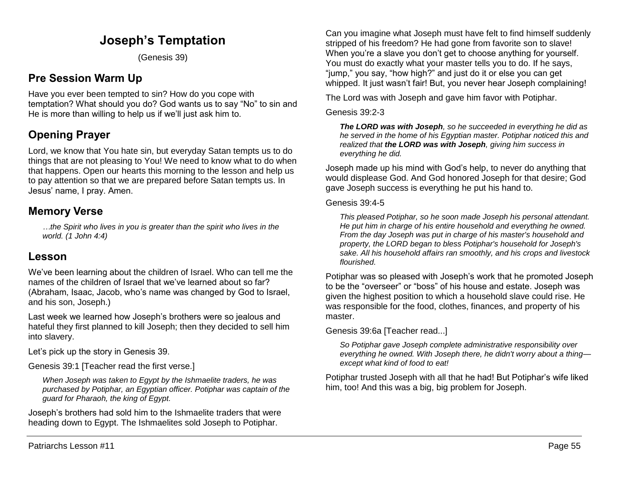## **Joseph's Temptation**

(Genesis 39)

## **Pre Session Warm Up**

Have you ever been tempted to sin? How do you cope with temptation? What should you do? God wants us to say "No" to sin and He is more than willing to help us if we'll just ask him to.

# **Opening Prayer**

Lord, we know that You hate sin, but everyday Satan tempts us to do things that are not pleasing to You! We need to know what to do when that happens. Open our hearts this morning to the lesson and help us to pay attention so that we are prepared before Satan tempts us. In Jesus' name, I pray. Amen.

### **Memory Verse**

*…the Spirit who lives in you is greater than the spirit who lives in the world. (1 John 4:4)*

### **Lesson**

We've been learning about the children of Israel. Who can tell me the names of the children of Israel that we've learned about so far? (Abraham, Isaac, Jacob, who's name was changed by God to Israel, and his son, Joseph.)

Last week we learned how Joseph's brothers were so jealous and hateful they first planned to kill Joseph; then they decided to sell him into slavery.

Let's pick up the story in Genesis 39.

Genesis 39:1 [Teacher read the first verse.]

*When Joseph was taken to Egypt by the Ishmaelite traders, he was purchased by Potiphar, an Egyptian officer. Potiphar was captain of the guard for Pharaoh, the king of Egypt.* 

Joseph's brothers had sold him to the Ishmaelite traders that were heading down to Egypt. The Ishmaelites sold Joseph to Potiphar.

Can you imagine what Joseph must have felt to find himself suddenly stripped of his freedom? He had gone from favorite son to slave! When you're a slave you don't get to choose anything for yourself. You must do exactly what your master tells you to do. If he says, "jump," you say, "how high?" and just do it or else you can get whipped. It just wasn't fair! But, you never hear Joseph complaining!

The Lord was with Joseph and gave him favor with Potiphar.

#### Genesis 39:2-3

*The LORD was with Joseph, so he succeeded in everything he did as he served in the home of his Egyptian master. Potiphar noticed this and realized that the LORD was with Joseph, giving him success in everything he did.*

Joseph made up his mind with God's help, to never do anything that would displease God. And God honored Joseph for that desire; God gave Joseph success is everything he put his hand to.

#### Genesis 39:4-5

*This pleased Potiphar, so he soon made Joseph his personal attendant. He put him in charge of his entire household and everything he owned. From the day Joseph was put in charge of his master's household and property, the LORD began to bless Potiphar's household for Joseph's sake. All his household affairs ran smoothly, and his crops and livestock flourished.*

Potiphar was so pleased with Joseph's work that he promoted Joseph to be the "overseer" or "boss" of his house and estate. Joseph was given the highest position to which a household slave could rise. He was responsible for the food, clothes, finances, and property of his master.

Genesis 39:6a [Teacher read...]

*So Potiphar gave Joseph complete administrative responsibility over everything he owned. With Joseph there, he didn't worry about a thing except what kind of food to eat!*

Potiphar trusted Joseph with all that he had! But Potiphar's wife liked him, too! And this was a big, big problem for Joseph.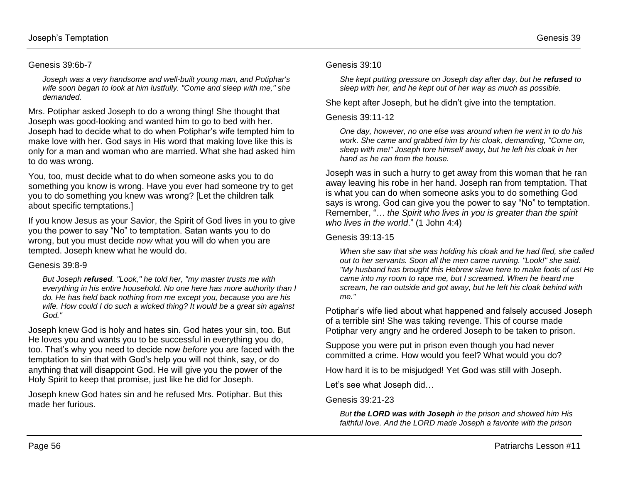#### Genesis 39:6b-7

*Joseph was a very handsome and well-built young man, and Potiphar's wife soon began to look at him lustfully. "Come and sleep with me," she demanded.*

Mrs. Potiphar asked Joseph to do a wrong thing! She thought that Joseph was good-looking and wanted him to go to bed with her. Joseph had to decide what to do when Potiphar's wife tempted him to make love with her. God says in His word that making love like this is only for a man and woman who are married. What she had asked him to do was wrong.

You, too, must decide what to do when someone asks you to do something you know is wrong. Have you ever had someone try to get you to do something you knew was wrong? [Let the children talk about specific temptations.]

If you know Jesus as your Savior, the Spirit of God lives in you to give you the power to say "No" to temptation. Satan wants you to do wrong, but you must decide *now* what you will do when you are tempted. Joseph knew what he would do.

#### Genesis 39:8-9

*But Joseph refused. "Look," he told her, "my master trusts me with everything in his entire household. No one here has more authority than I do. He has held back nothing from me except you, because you are his wife. How could I do such a wicked thing? It would be a great sin against God."* 

Joseph knew God is holy and hates sin. God hates your sin, too. But He loves you and wants you to be successful in everything you do, too. That's why you need to decide now *before* you are faced with the temptation to sin that with God's help you will not think, say, or do anything that will disappoint God. He will give you the power of the Holy Spirit to keep that promise, just like he did for Joseph.

Joseph knew God hates sin and he refused Mrs. Potiphar. But this made her furious.

#### Genesis 39:10

*She kept putting pressure on Joseph day after day, but he refused to sleep with her, and he kept out of her way as much as possible.*

She kept after Joseph, but he didn't give into the temptation.

#### Genesis 39:11-12

*One day, however, no one else was around when he went in to do his work. She came and grabbed him by his cloak, demanding, "Come on, sleep with me!" Joseph tore himself away, but he left his cloak in her hand as he ran from the house.* 

Joseph was in such a hurry to get away from this woman that he ran away leaving his robe in her hand. Joseph ran from temptation. That is what you can do when someone asks you to do something God says is wrong. God can give you the power to say "No" to temptation. Remember, "… *the Spirit who lives in you is greater than the spirit who lives in the world*." (1 John 4:4)

#### Genesis 39:13-15

*When she saw that she was holding his cloak and he had fled, she called out to her servants. Soon all the men came running. "Look!" she said. "My husband has brought this Hebrew slave here to make fools of us! He came into my room to rape me, but I screamed. When he heard me scream, he ran outside and got away, but he left his cloak behind with me."*

Potiphar's wife lied about what happened and falsely accused Joseph of a terrible sin! She was taking revenge. This of course made Potiphar very angry and he ordered Joseph to be taken to prison.

Suppose you were put in prison even though you had never committed a crime. How would you feel? What would you do?

How hard it is to be misjudged! Yet God was still with Joseph.

Let's see what Joseph did…

Genesis 39:21-23

*But the LORD was with Joseph in the prison and showed him His faithful love. And the LORD made Joseph a favorite with the prison*